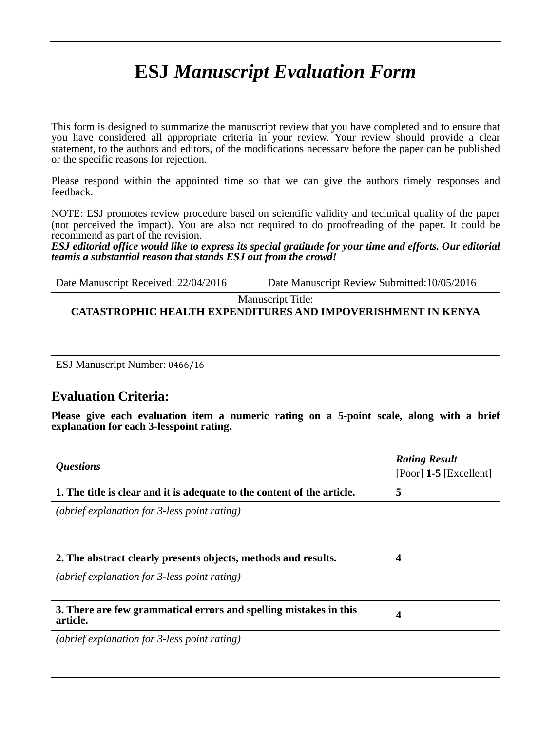# **ESJ** *Manuscript Evaluation Form*

This form is designed to summarize the manuscript review that you have completed and to ensure that you have considered all appropriate criteria in your review. Your review should provide a clear statement, to the authors and editors, of the modifications necessary before the paper can be published or the specific reasons for rejection.

Please respond within the appointed time so that we can give the authors timely responses and feedback.

NOTE: ESJ promotes review procedure based on scientific validity and technical quality of the paper (not perceived the impact). You are also not required to do proofreading of the paper. It could be recommend as part of the revision.

*ESJ editorial office would like to express its special gratitude for your time and efforts. Our editorial teamis a substantial reason that stands ESJ out from the crowd!*

| Date Manuscript Received: 22/04/2016 | Date Manuscript Review Submitted: 10/05/2016                                             |
|--------------------------------------|------------------------------------------------------------------------------------------|
|                                      | <b>Manuscript Title:</b><br>CATASTROPHIC HEALTH EXPENDITURES AND IMPOVERISHMENT IN KENYA |
| ESJ Manuscript Number: 0466/16       |                                                                                          |

## **Evaluation Criteria:**

**Please give each evaluation item a numeric rating on a 5-point scale, along with a brief explanation for each 3-lesspoint rating.**

| <i><b>Questions</b></i>                                                       | <b>Rating Result</b><br>[Poor] $1-5$ [Excellent] |
|-------------------------------------------------------------------------------|--------------------------------------------------|
| 1. The title is clear and it is adequate to the content of the article.       | 5                                                |
| (abrief explanation for 3-less point rating)                                  |                                                  |
| 2. The abstract clearly presents objects, methods and results.                | $\overline{\mathbf{4}}$                          |
| (abrief explanation for 3-less point rating)                                  |                                                  |
| 3. There are few grammatical errors and spelling mistakes in this<br>article. | $\boldsymbol{4}$                                 |
| (abrief explanation for 3-less point rating)                                  |                                                  |
|                                                                               |                                                  |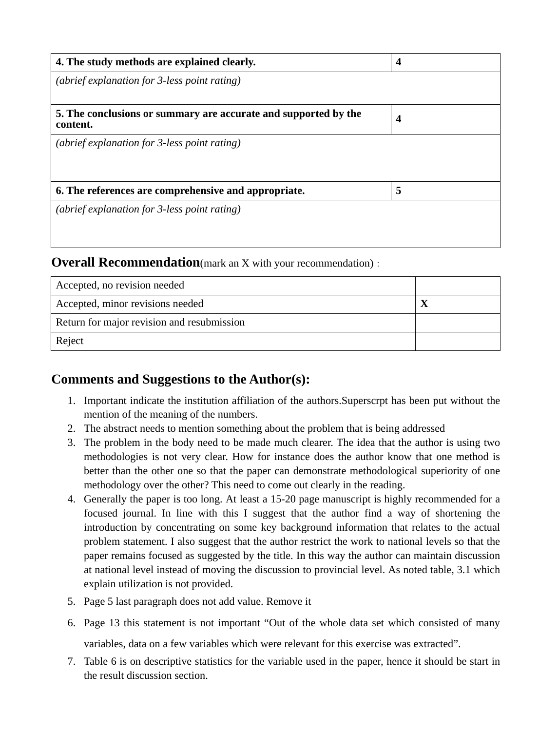| 4. The study methods are explained clearly.                                 | $\overline{\mathbf{4}}$ |
|-----------------------------------------------------------------------------|-------------------------|
| (abrief explanation for 3-less point rating)                                |                         |
|                                                                             |                         |
| 5. The conclusions or summary are accurate and supported by the<br>content. | $\overline{\mathbf{4}}$ |
| (abrief explanation for 3-less point rating)                                |                         |
|                                                                             |                         |
| 6. The references are comprehensive and appropriate.                        | 5                       |
| (abrief explanation for 3-less point rating)                                |                         |
|                                                                             |                         |
|                                                                             |                         |

# **Overall Recommendation**(mark an X with your recommendation):

| Accepted, no revision needed               |  |
|--------------------------------------------|--|
| Accepted, minor revisions needed           |  |
| Return for major revision and resubmission |  |
| Reject                                     |  |

## **Comments and Suggestions to the Author(s):**

- 1. Important indicate the institution affiliation of the authors.Superscrpt has been put without the mention of the meaning of the numbers.
- 2. The abstract needs to mention something about the problem that is being addressed
- 3. The problem in the body need to be made much clearer. The idea that the author is using two methodologies is not very clear. How for instance does the author know that one method is better than the other one so that the paper can demonstrate methodological superiority of one methodology over the other? This need to come out clearly in the reading.
- 4. Generally the paper is too long. At least a 15-20 page manuscript is highly recommended for a focused journal. In line with this I suggest that the author find a way of shortening the introduction by concentrating on some key background information that relates to the actual problem statement. I also suggest that the author restrict the work to national levels so that the paper remains focused as suggested by the title. In this way the author can maintain discussion at national level instead of moving the discussion to provincial level. As noted table, 3.1 which explain utilization is not provided.
- 5. Page 5 last paragraph does not add value. Remove it
- 6. Page 13 this statement is not important "Out of the whole data set which consisted of many variables, data on a few variables which were relevant for this exercise was extracted".
- 7. Table 6 is on descriptive statistics for the variable used in the paper, hence it should be start in the result discussion section.